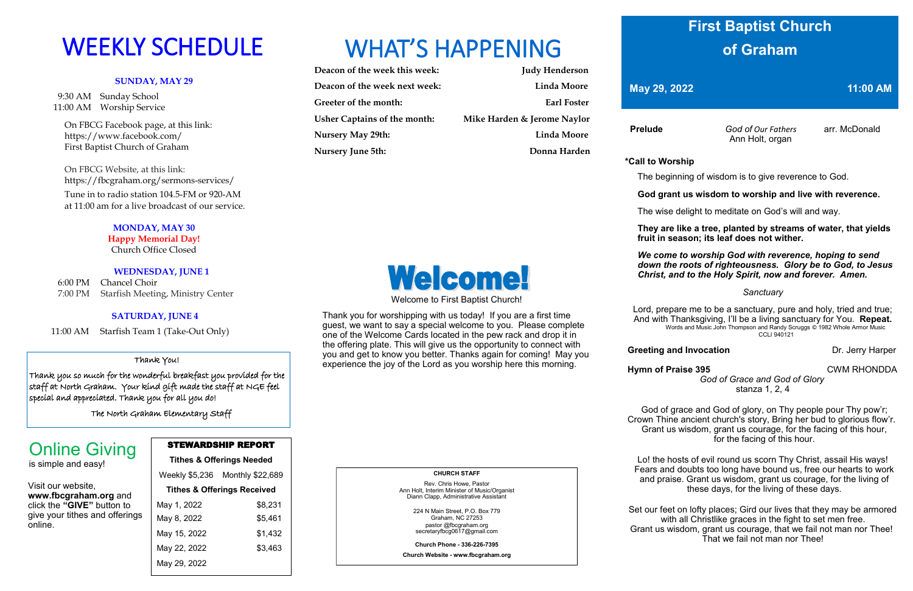### **SUNDAY, MAY 29**

 9:30 AM Sunday School 11:00 AM Worship Service

> On FBCG Facebook page, at this link: [https://www.facebook.com/](https://www.facebook.com/First%20Baptist%20Church%20of%20Graham)  [First Baptist Church of Graham](https://www.facebook.com/First%20Baptist%20Church%20of%20Graham)

 On FBCG Website, at this link: <https://fbcgraham.org/sermons-services/>

 Tune in to radio station 104.5-FM or 920-AM at 11:00 am for a live broadcast of our service.

### **MONDAY, MAY 30 Happy Memorial Day!**

Church Office Closed

### **WEDNESDAY, JUNE 1**

Weekly \$5,236 Monthly \$22,689 **Tithes & Offerings Received** May 1, 2022 \$8,231 May 8, 2022 \$5,461 May 15, 2022 \$1,432

May 22, 2022 \$3,463

6:00 PM Chancel Choir 7:00 PM Starfish Meeting, Ministry Center

### **SATURDAY, JUNE 4**

11:00 AM Starfish Team 1 (Take-Out Only)

| Deacon of the week this week: | <b>Judy Henderson</b>       |
|-------------------------------|-----------------------------|
| Deacon of the week next week: | Linda Moore                 |
| Greeter of the month:         | <b>Earl Foster</b>          |
| Usher Captains of the month:  | Mike Harden & Jerome Naylor |
| <b>Nursery May 29th:</b>      | <b>Linda Moore</b>          |
| <b>Nursery June 5th:</b>      | Donna Harden                |



### STEWARDSHIP REPORT **Tithes & Offerings Needed**

May 29, 2022

# WEEKLY SCHEDULE WHAT'S HAPPENING

Visit our website, **www.fbcgraham.org** and click the **"GIVE"** button to give your tithes and offerings online.

# Online Giving

is simple and easy!

### **CHURCH STAFF**

Rev. Chris Howe, Pastor Ann Holt, Interim Minister of Music/Organist Diann Clapp, Administrative Assistant

> 224 N Main Street, P.O. Box 779 Graham, NC 27253 pastor @fbcgraham.org secretaryfbcg0617@gmail.com

**Church Phone - 336-226-7395**

**Church Website - www.fbcgraham.org**

 **Prelude** *God of Our Fathers* arr. McDonald Ann Holt, organ

### **\*Call to Worship**

The beginning of wisdom is to give reverence to God.

### **God grant us wisdom to worship and live with reverence.**

The wise delight to meditate on God's will and way.

 **They are like a tree, planted by streams of water, that yields fruit in season; its leaf does not wither.**

*We come to worship God with reverence, hoping to send down the roots of righteousness. Glory be to God, to Jesus Christ, and to the Holy Spirit, now and forever. Amen.*

### *Sanctuary*

**Greeting and Invocation** Dr. Jerry Harper

Lord, prepare me to be a sanctuary, pure and holy, tried and true; And with Thanksgiving, I'll be a living sanctuary for You. **Repeat.** Words and Music John Thompson and Randy Scruggs © 1982 Whole Armor Music CCLI 940121

**Hymn of Praise 395 CWM RHONDDA** 

 *God of Grace and God of Glory*  stanza 1, 2, 4

God of grace and God of glory, on Thy people pour Thy pow'r; Crown Thine ancient church's story, Bring her bud to glorious flow'r. Grant us wisdom, grant us courage, for the facing of this hour, for the facing of this hour.

Lo! the hosts of evil round us scorn Thy Christ, assail His ways! Fears and doubts too long have bound us, free our hearts to work and praise. Grant us wisdom, grant us courage, for the living of these days, for the living of these days.

Set our feet on lofty places; Gird our lives that they may be armored with all Christlike graces in the fight to set men free. Grant us wisdom, grant us courage, that we fail not man nor Thee! That we fail not man nor Thee!

# Welcome!

Welcome to First Baptist Church!

Thank you for worshipping with us today! If you are a first time guest, we want to say a special welcome to you. Please complete one of the Welcome Cards located in the pew rack and drop it in the offering plate. This will give us the opportunity to connect with you and get to know you better. Thanks again for coming! May you experience the joy of the Lord as you worship here this morning.

## **First Baptist Church of Graham**

**May 29, 2022 11:00 AM** 

### Thank You!

Thank you so much for the wonderful breakfast you provided for the staff at North Graham. Your kind gift made the staff at NGE feel special and appreciated. Thank you for all you do!

The North Graham Elementary Staff